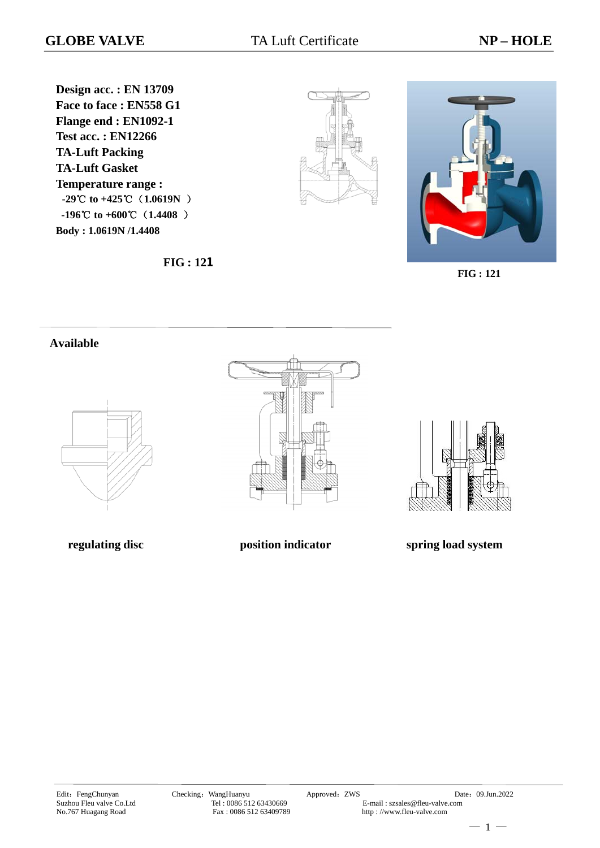**Design acc. : EN 13709 Face to face : EN558 G1 Flange end : EN1092-1 Test acc. : EN12266 TA-Luft Packing TA-Luft Gasket Temperature range : -29**℃ **to +425**℃(**1.0619N** )  **-196 to** ℃ **+600**℃(**1.4408** ) **Body : 1.0619N /1.4408**





**FIG : 121** 

#### **Available**







**regulating disc position indicator spring load system**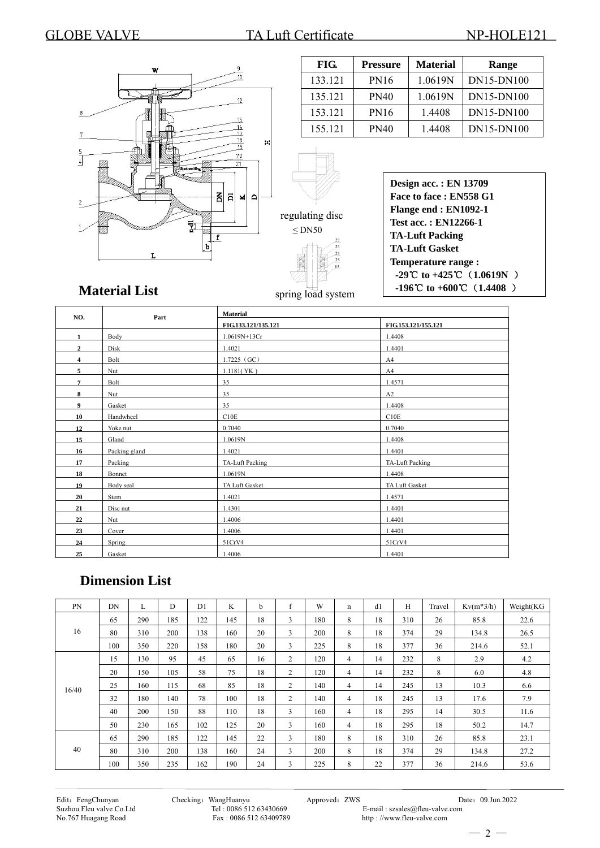### GLOBE VALVE TA Luft Certificate NP-HOLE121



| FIG.    | <b>Pressure</b> | <b>Material</b> | Range      |
|---------|-----------------|-----------------|------------|
| 133.121 | PN16            | 1.0619N         | DN15-DN100 |
| 135.121 | <b>PN40</b>     | 1.0619N         | DN15-DN100 |
| 153.121 | <b>PN16</b>     | 1.4408          | DN15-DN100 |
| 155.121 | PN40            | 1.4408          | DN15-DN100 |
|         |                 |                 |            |

| <b>Design acc.: EN 13709</b>                  |
|-----------------------------------------------|
| Face to face: EN558 G1                        |
| Flange end : EN1092-1                         |
| <b>Test acc.: EN12266-1</b>                   |
| <b>TA-Luft Packing</b>                        |
| <b>TA-Luft Gasket</b>                         |
| <b>Temperature range:</b>                     |
| -29°C to +425°C $(1.0619N)$                   |
| $-196^{\circ}$ C to $+600^{\circ}$ C (1.4408) |

# **Material List**

| NO.            | Part          | <b>Material</b>        |                     |  |  |  |  |  |
|----------------|---------------|------------------------|---------------------|--|--|--|--|--|
|                |               | FIG.133.121/135.121    | FIG.153.121/155.121 |  |  |  |  |  |
| $\mathbf{1}$   | Body          | 1.0619N+13Cr           | 1.4408              |  |  |  |  |  |
| $\mathbf{2}$   | Disk          | 1.4021                 | 1.4401              |  |  |  |  |  |
| $\overline{4}$ | Bolt          | $1.7225$ (GC)          | A4                  |  |  |  |  |  |
| 5              | Nut           | 1.1181(YK)             | A4                  |  |  |  |  |  |
| $\overline{7}$ | Bolt          | 35                     | 1.4571              |  |  |  |  |  |
| 8              | Nut           | 35                     | A2                  |  |  |  |  |  |
| 9              | Gasket        | 35                     | 1.4408              |  |  |  |  |  |
| 10             | Handwheel     | C10E                   | C10E                |  |  |  |  |  |
| 12             | Yoke nut      | 0.7040                 | 0.7040              |  |  |  |  |  |
| 15             | Gland         | 1.0619N                | 1.4408              |  |  |  |  |  |
| 16             | Packing gland | 1.4021                 | 1.4401              |  |  |  |  |  |
| 17             | Packing       | <b>TA-Luft Packing</b> | TA-Luft Packing     |  |  |  |  |  |
| 18             | Bonnet        | 1.0619N                | 1.4408              |  |  |  |  |  |
| 19             | Body seal     | TA Luft Gasket         | TA Luft Gasket      |  |  |  |  |  |
| 20             | Stem          | 1.4021                 | 1.4571              |  |  |  |  |  |
| 21             | Disc nut      | 1.4301                 | 1.4401              |  |  |  |  |  |
| 22             | Nut           | 1.4006                 | 1.4401              |  |  |  |  |  |
| 23             | Cover         | 1.4006                 | 1.4401              |  |  |  |  |  |
| 24             | Spring        | 51CrV4                 | 51CrV4              |  |  |  |  |  |
| 25             | Gasket        | 1.4006                 | 1.4401              |  |  |  |  |  |

spring load system

## **Dimension List**

| PN    | DN  | L   | D   | D <sub>1</sub> | K   | <sub>b</sub> | f              | W   | n | d1 | H   | Travel | $Kv(m*3/h)$ | Weight(KG |
|-------|-----|-----|-----|----------------|-----|--------------|----------------|-----|---|----|-----|--------|-------------|-----------|
|       | 65  | 290 | 185 | 122            | 145 | 18           | 3              | 180 | 8 | 18 | 310 | 26     | 85.8        | 22.6      |
| 16    | 80  | 310 | 200 | 138            | 160 | 20           | 3              | 200 | 8 | 18 | 374 | 29     | 134.8       | 26.5      |
|       | 100 | 350 | 220 | 158            | 180 | 20           | 3              | 225 | 8 | 18 | 377 | 36     | 214.6       | 52.1      |
|       | 15  | 130 | 95  | 45             | 65  | 16           | $\overline{2}$ | 120 | 4 | 14 | 232 | 8      | 2.9         | 4.2       |
|       | 20  | 150 | 105 | 58             | 75  | 18           | 2              | 120 | 4 | 14 | 232 | 8      | 6.0         | 4.8       |
| 16/40 | 25  | 160 | 115 | 68             | 85  | 18           | 2              | 140 | 4 | 14 | 245 | 13     | 10.3        | 6.6       |
|       | 32  | 180 | 140 | 78             | 100 | 18           | 2              | 140 | 4 | 18 | 245 | 13     | 17.6        | 7.9       |
|       | 40  | 200 | 150 | 88             | 110 | 18           | 3              | 160 | 4 | 18 | 295 | 14     | 30.5        | 11.6      |
|       | 50  | 230 | 165 | 102            | 125 | 20           | 3              | 160 | 4 | 18 | 295 | 18     | 50.2        | 14.7      |
|       | 65  | 290 | 185 | 122            | 145 | 22           | 3              | 180 | 8 | 18 | 310 | 26     | 85.8        | 23.1      |
| 40    | 80  | 310 | 200 | 138            | 160 | 24           | 3              | 200 | 8 | 18 | 374 | 29     | 134.8       | 27.2      |
|       | 100 | 350 | 235 | 162            | 190 | 24           | 3              | 225 | 8 | 22 | 377 | 36     | 214.6       | 53.6      |

Edit: FengChunyan Checking: WangHuanyu Approved: ZWS Date: 09.Jun.2022<br>Suzhou Fleu valve Co.Ltd Tel: 0086 512 63430669 E-mail: szsales@fleu-valve.com Tel : 0086 512 63430669 E-mail : szsales@fleu-valve.com<br>Fax : 0086 512 63409789 http ://www.fleu-valve.com